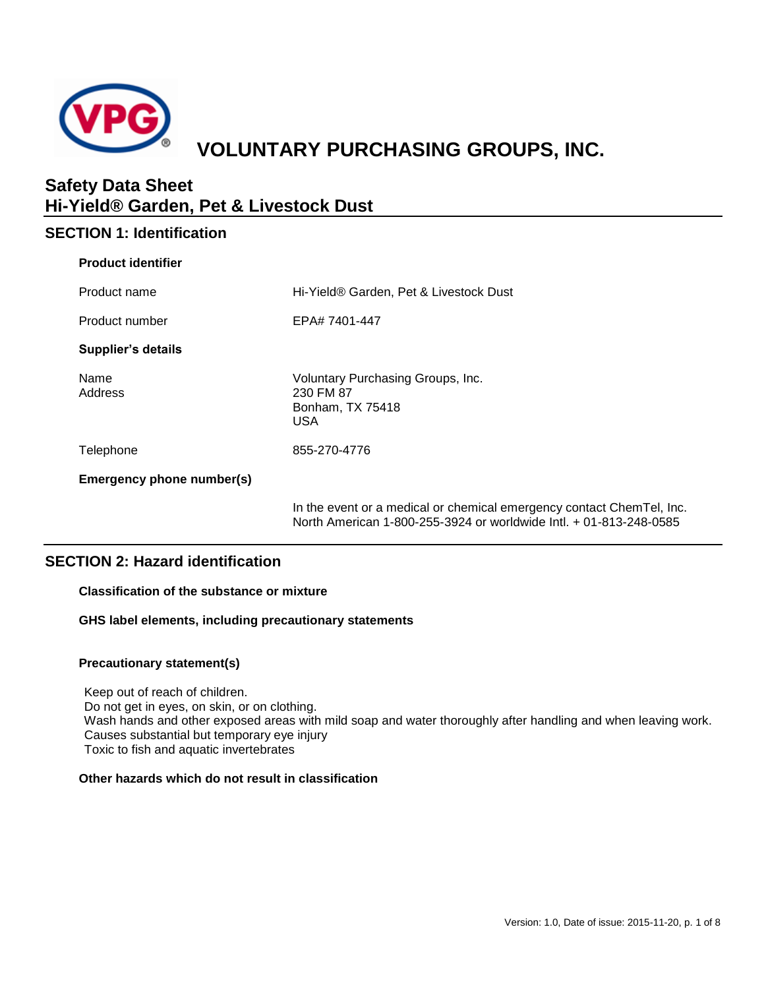

# **VOLUNTARY PURCHASING GROUPS, INC.**

## **Safety Data Sheet Hi-Yield® Garden, Pet & Livestock Dust**

## **SECTION 1: Identification**

| <b>Product identifier</b> |                                                                                                                                             |
|---------------------------|---------------------------------------------------------------------------------------------------------------------------------------------|
| Product name              | Hi-Yield® Garden, Pet & Livestock Dust                                                                                                      |
| Product number            | EPA# 7401-447                                                                                                                               |
| <b>Supplier's details</b> |                                                                                                                                             |
| Name<br>Address           | Voluntary Purchasing Groups, Inc.<br>230 FM 87<br>Bonham, TX 75418<br><b>USA</b>                                                            |
| Telephone                 | 855-270-4776                                                                                                                                |
| Emergency phone number(s) |                                                                                                                                             |
|                           | In the event or a medical or chemical emergency contact ChemTel, Inc.<br>North American 1-800-255-3924 or worldwide Intl. + 01-813-248-0585 |

## **SECTION 2: Hazard identification**

## **Classification of the substance or mixture**

**GHS label elements, including precautionary statements**

## **Precautionary statement(s)**

Keep out of reach of children. Do not get in eyes, on skin, or on clothing. Wash hands and other exposed areas with mild soap and water thoroughly after handling and when leaving work. Causes substantial but temporary eye injury Toxic to fish and aquatic invertebrates

## **Other hazards which do not result in classification**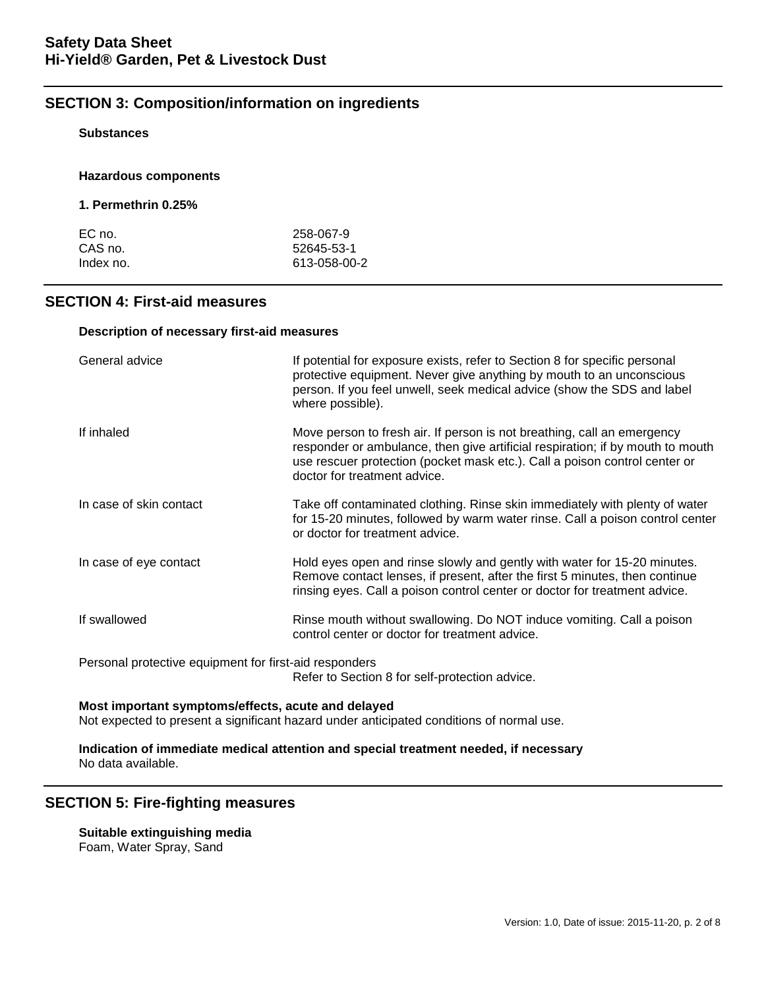## **SECTION 3: Composition/information on ingredients**

## **Substances**

## **Hazardous components**

## **1. Permethrin 0.25%**

| EC no.    | 258-067-9    |
|-----------|--------------|
| CAS no.   | 52645-53-1   |
| Index no. | 613-058-00-2 |

## **SECTION 4: First-aid measures**

#### **Description of necessary first-aid measures**

| General advice                                                                                           | If potential for exposure exists, refer to Section 8 for specific personal<br>protective equipment. Never give anything by mouth to an unconscious<br>person. If you feel unwell, seek medical advice (show the SDS and label<br>where possible).                       |  |
|----------------------------------------------------------------------------------------------------------|-------------------------------------------------------------------------------------------------------------------------------------------------------------------------------------------------------------------------------------------------------------------------|--|
| If inhaled                                                                                               | Move person to fresh air. If person is not breathing, call an emergency<br>responder or ambulance, then give artificial respiration; if by mouth to mouth<br>use rescuer protection (pocket mask etc.). Call a poison control center or<br>doctor for treatment advice. |  |
| In case of skin contact                                                                                  | Take off contaminated clothing. Rinse skin immediately with plenty of water<br>for 15-20 minutes, followed by warm water rinse. Call a poison control center<br>or doctor for treatment advice.                                                                         |  |
| In case of eye contact                                                                                   | Hold eyes open and rinse slowly and gently with water for 15-20 minutes.<br>Remove contact lenses, if present, after the first 5 minutes, then continue<br>rinsing eyes. Call a poison control center or doctor for treatment advice.                                   |  |
| If swallowed                                                                                             | Rinse mouth without swallowing. Do NOT induce vomiting. Call a poison<br>control center or doctor for treatment advice.                                                                                                                                                 |  |
| Personal protective equipment for first-aid responders<br>Refer to Section 8 for self-protection advice. |                                                                                                                                                                                                                                                                         |  |

#### **Most important symptoms/effects, acute and delayed**

Not expected to present a significant hazard under anticipated conditions of normal use.

#### **Indication of immediate medical attention and special treatment needed, if necessary** No data available.

## **SECTION 5: Fire-fighting measures**

**Suitable extinguishing media** Foam, Water Spray, Sand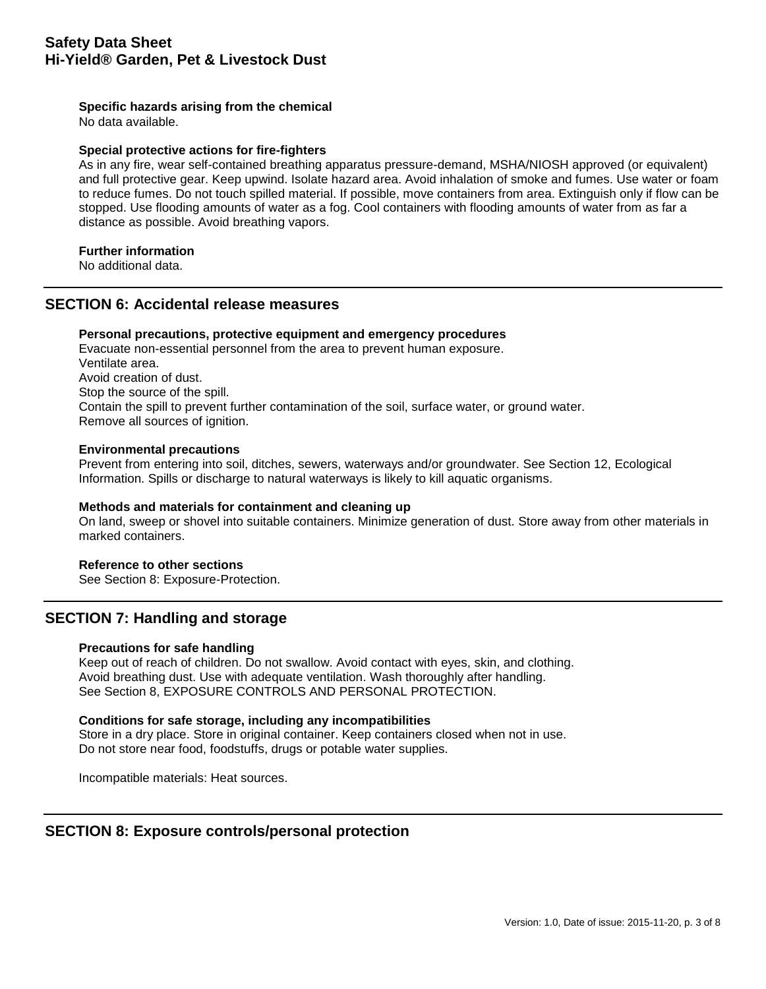## **Specific hazards arising from the chemical**

No data available.

#### **Special protective actions for fire-fighters**

As in any fire, wear self-contained breathing apparatus pressure-demand, MSHA/NIOSH approved (or equivalent) and full protective gear. Keep upwind. Isolate hazard area. Avoid inhalation of smoke and fumes. Use water or foam to reduce fumes. Do not touch spilled material. If possible, move containers from area. Extinguish only if flow can be stopped. Use flooding amounts of water as a fog. Cool containers with flooding amounts of water from as far a distance as possible. Avoid breathing vapors.

## **Further information**

No additional data.

## **SECTION 6: Accidental release measures**

## **Personal precautions, protective equipment and emergency procedures**

Evacuate non-essential personnel from the area to prevent human exposure. Ventilate area. Avoid creation of dust. Stop the source of the spill. Contain the spill to prevent further contamination of the soil, surface water, or ground water. Remove all sources of ignition.

#### **Environmental precautions**

Prevent from entering into soil, ditches, sewers, waterways and/or groundwater. See Section 12, Ecological Information. Spills or discharge to natural waterways is likely to kill aquatic organisms.

#### **Methods and materials for containment and cleaning up**

On land, sweep or shovel into suitable containers. Minimize generation of dust. Store away from other materials in marked containers.

#### **Reference to other sections**

See Section 8: Exposure-Protection.

## **SECTION 7: Handling and storage**

## **Precautions for safe handling**

Keep out of reach of children. Do not swallow. Avoid contact with eyes, skin, and clothing. Avoid breathing dust. Use with adequate ventilation. Wash thoroughly after handling. See Section 8, EXPOSURE CONTROLS AND PERSONAL PROTECTION.

#### **Conditions for safe storage, including any incompatibilities**

Store in a dry place. Store in original container. Keep containers closed when not in use. Do not store near food, foodstuffs, drugs or potable water supplies.

Incompatible materials: Heat sources.

## **SECTION 8: Exposure controls/personal protection**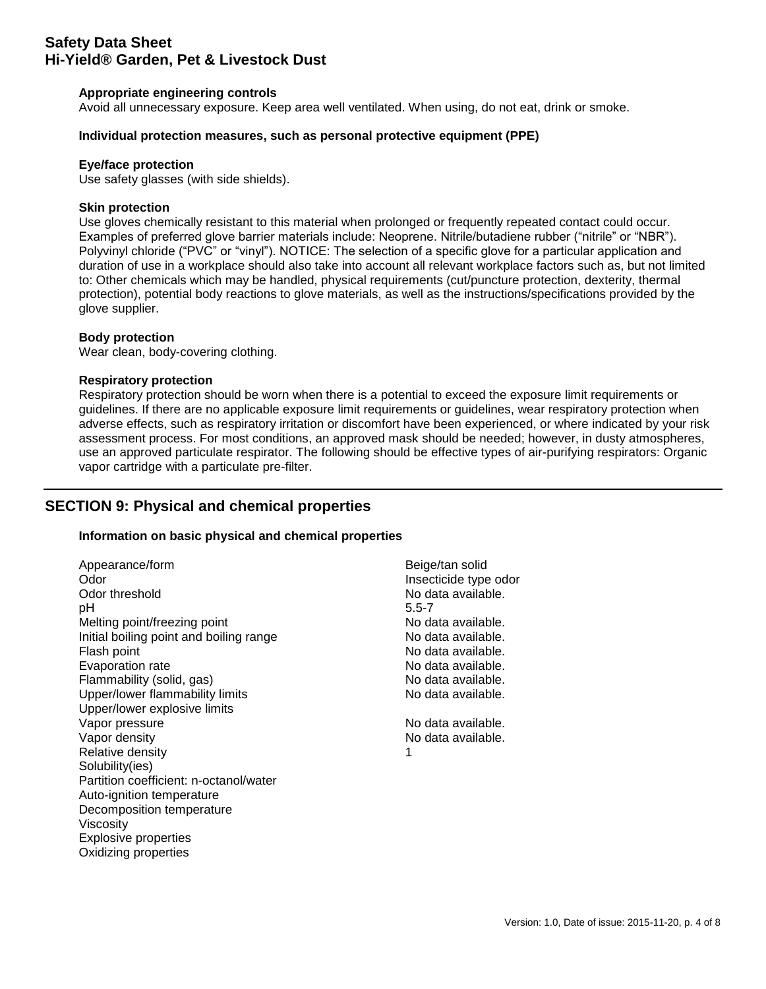## **Appropriate engineering controls**

Avoid all unnecessary exposure. Keep area well ventilated. When using, do not eat, drink or smoke.

## **Individual protection measures, such as personal protective equipment (PPE)**

#### **Eye/face protection**

Use safety glasses (with side shields).

## **Skin protection**

Use gloves chemically resistant to this material when prolonged or frequently repeated contact could occur. Examples of preferred glove barrier materials include: Neoprene. Nitrile/butadiene rubber ("nitrile" or "NBR"). Polyvinyl chloride ("PVC" or "vinyl"). NOTICE: The selection of a specific glove for a particular application and duration of use in a workplace should also take into account all relevant workplace factors such as, but not limited to: Other chemicals which may be handled, physical requirements (cut/puncture protection, dexterity, thermal protection), potential body reactions to glove materials, as well as the instructions/specifications provided by the glove supplier.

## **Body protection**

Wear clean, body-covering clothing.

## **Respiratory protection**

Respiratory protection should be worn when there is a potential to exceed the exposure limit requirements or guidelines. If there are no applicable exposure limit requirements or guidelines, wear respiratory protection when adverse effects, such as respiratory irritation or discomfort have been experienced, or where indicated by your risk assessment process. For most conditions, an approved mask should be needed; however, in dusty atmospheres, use an approved particulate respirator. The following should be effective types of air-purifying respirators: Organic vapor cartridge with a particulate pre-filter.

## **SECTION 9: Physical and chemical properties**

## **Information on basic physical and chemical properties**

| Appearance/form                         | Beige/tan solid       |
|-----------------------------------------|-----------------------|
| Odor                                    | Insecticide type odor |
| Odor threshold                          | No data available.    |
| рH                                      | $5.5 - 7$             |
| Melting point/freezing point            | No data available.    |
| Initial boiling point and boiling range | No data available.    |
| Flash point                             | No data available.    |
| Evaporation rate                        | No data available.    |
| Flammability (solid, gas)               | No data available.    |
| Upper/lower flammability limits         | No data available.    |
| Upper/lower explosive limits            |                       |
| Vapor pressure                          | No data available.    |
| Vapor density                           | No data available.    |
| Relative density                        | 1                     |
| Solubility(ies)                         |                       |
| Partition coefficient: n-octanol/water  |                       |
| Auto-ignition temperature               |                       |
| Decomposition temperature               |                       |
| Viscosity                               |                       |
| <b>Explosive properties</b>             |                       |
| Oxidizing properties                    |                       |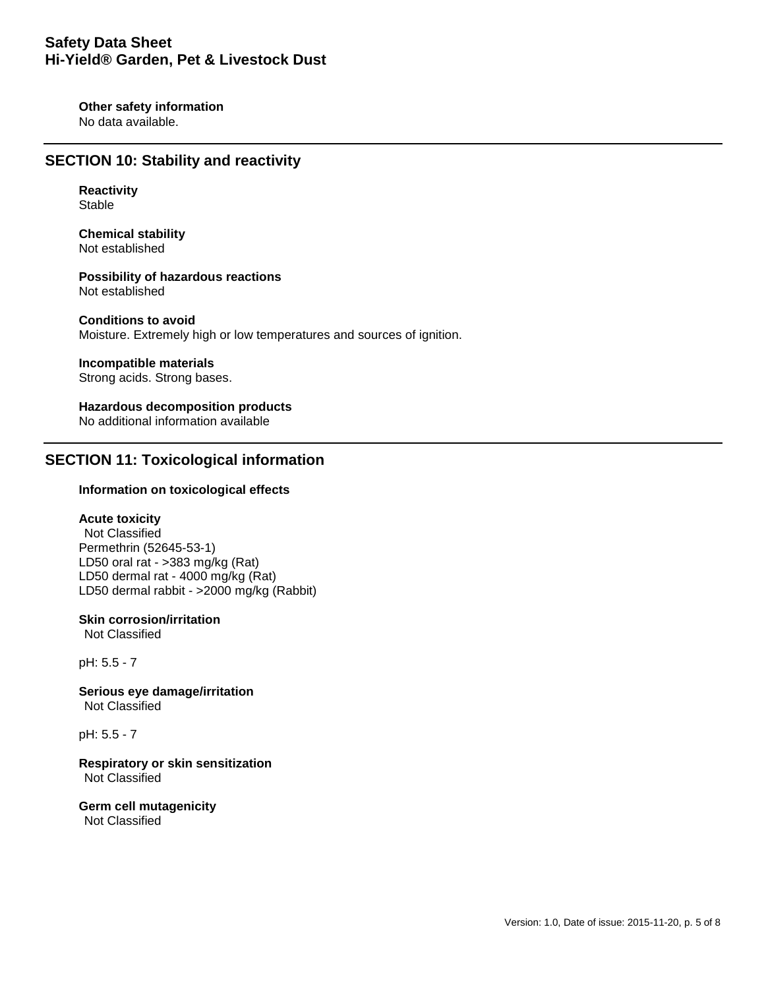**Other safety information** No data available.

## **SECTION 10: Stability and reactivity**

**Reactivity** Stable

**Chemical stability** Not established

**Possibility of hazardous reactions** Not established

**Conditions to avoid** Moisture. Extremely high or low temperatures and sources of ignition.

## **Incompatible materials**

Strong acids. Strong bases.

**Hazardous decomposition products** No additional information available

## **SECTION 11: Toxicological information**

## **Information on toxicological effects**

## **Acute toxicity**

Not Classified Permethrin (52645-53-1) LD50 oral rat - >383 mg/kg (Rat) LD50 dermal rat - 4000 mg/kg (Rat) LD50 dermal rabbit - >2000 mg/kg (Rabbit)

## **Skin corrosion/irritation**

Not Classified

pH: 5.5 - 7

**Serious eye damage/irritation** Not Classified

pH: 5.5 - 7

**Respiratory or skin sensitization** Not Classified

**Germ cell mutagenicity** Not Classified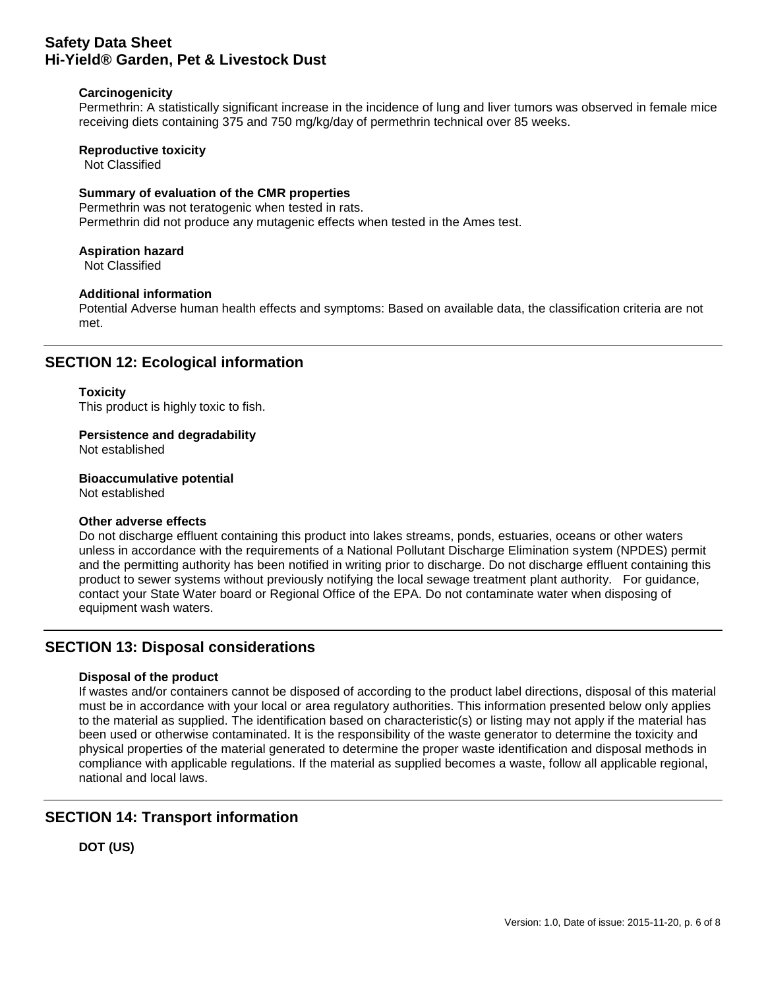## **Carcinogenicity**

Permethrin: A statistically significant increase in the incidence of lung and liver tumors was observed in female mice receiving diets containing 375 and 750 mg/kg/day of permethrin technical over 85 weeks.

## **Reproductive toxicity**

Not Classified

#### **Summary of evaluation of the CMR properties**

Permethrin was not teratogenic when tested in rats. Permethrin did not produce any mutagenic effects when tested in the Ames test.

#### **Aspiration hazard**

Not Classified

#### **Additional information**

Potential Adverse human health effects and symptoms: Based on available data, the classification criteria are not met.

## **SECTION 12: Ecological information**

#### **Toxicity**

This product is highly toxic to fish.

## **Persistence and degradability**

Not established

**Bioaccumulative potential** Not established

#### **Other adverse effects**

Do not discharge effluent containing this product into lakes streams, ponds, estuaries, oceans or other waters unless in accordance with the requirements of a National Pollutant Discharge Elimination system (NPDES) permit and the permitting authority has been notified in writing prior to discharge. Do not discharge effluent containing this product to sewer systems without previously notifying the local sewage treatment plant authority. For guidance, contact your State Water board or Regional Office of the EPA. Do not contaminate water when disposing of equipment wash waters.

## **SECTION 13: Disposal considerations**

## **Disposal of the product**

If wastes and/or containers cannot be disposed of according to the product label directions, disposal of this material must be in accordance with your local or area regulatory authorities. This information presented below only applies to the material as supplied. The identification based on characteristic(s) or listing may not apply if the material has been used or otherwise contaminated. It is the responsibility of the waste generator to determine the toxicity and physical properties of the material generated to determine the proper waste identification and disposal methods in compliance with applicable regulations. If the material as supplied becomes a waste, follow all applicable regional, national and local laws.

## **SECTION 14: Transport information**

**DOT (US)**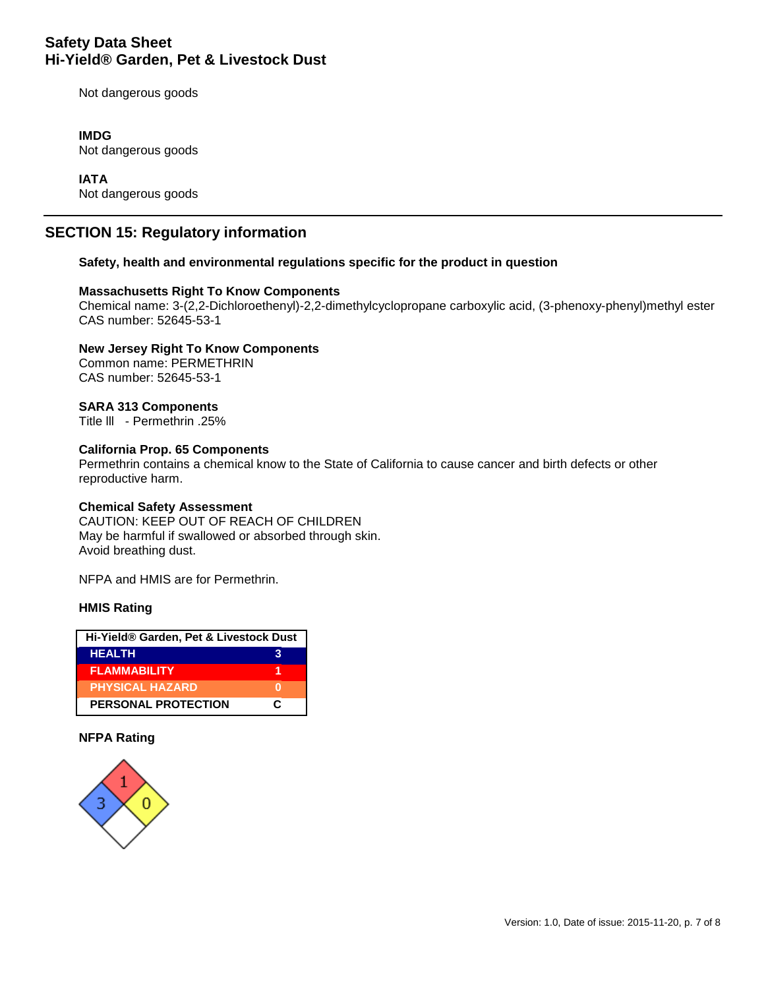Not dangerous goods

## **IMDG**

Not dangerous goods

## **IATA**

Not dangerous goods

## **SECTION 15: Regulatory information**

#### **Safety, health and environmental regulations specific for the product in question**

#### **Massachusetts Right To Know Components**

Chemical name: 3-(2,2-Dichloroethenyl)-2,2-dimethylcyclopropane carboxylic acid, (3-phenoxy-phenyl)methyl ester CAS number: 52645-53-1

**New Jersey Right To Know Components** Common name: PERMETHRIN CAS number: 52645-53-1

## **SARA 313 Components**

Title lll - Permethrin .25%

## **California Prop. 65 Components**

Permethrin contains a chemical know to the State of California to cause cancer and birth defects or other reproductive harm.

#### **Chemical Safety Assessment**

CAUTION: KEEP OUT OF REACH OF CHILDREN May be harmful if swallowed or absorbed through skin. Avoid breathing dust.

NFPA and HMIS are for Permethrin.

## **HMIS Rating**

| Hi-Yield® Garden, Pet & Livestock Dust |   |  |
|----------------------------------------|---|--|
| <b>HEALTH</b>                          |   |  |
| <b>FLAMMABILITY</b>                    |   |  |
| <b>PHYSICAL HAZARD</b>                 |   |  |
| <b>PERSONAL PROTECTION</b>             | C |  |

#### **NFPA Rating**